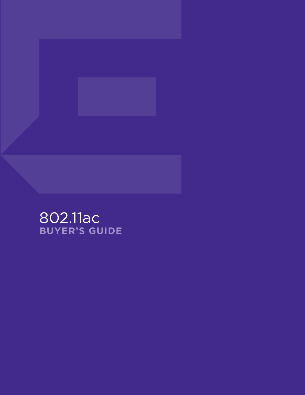

# 802.11ac **BUYER'S GUIDE**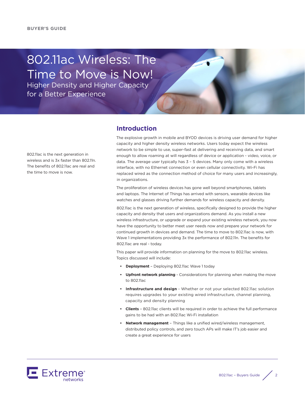# 802.11ac Wireless: The Time to Move is Now!

Higher Density and Higher Capacity for a Better Experience

802.11ac is the next generation in wireless and is 3x faster than 802.11n. The benefits of 802.11ac are real and the time to move is now.

#### **Introduction**

The explosive growth in mobile and BYOD devices is driving user demand for higher capacity and higher density wireless networks. Users today expect the wireless network to be simple to use, super-fast at delivering and receiving data, and smart enough to allow roaming at will regardless of device or application - video, voice, or data. The average user typically has 3 – 5 devices. Many only come with a wireless interface, with no Ethernet connection or even cellular connectivity. Wi-Fi has replaced wired as the connection method of choice for many users and increasingly, in organizations.

The proliferation of wireless devices has gone well beyond smartphones, tablets and laptops. The Internet of Things has arrived with sensors, wearable devices like watches and glasses driving further demands for wireless capacity and density.

802.11ac is the next generation of wireless, specifically designed to provide the higher capacity and density that users and organizations demand. As you install a new wireless infrastructure, or upgrade or expand your existing wireless network, you now have the opportunity to better meet user needs now and prepare your network for continued growth in devices and demand. The time to move to 802.11ac is now, with Wave 1 implementations providing 3x the performance of 802.11n. The benefits for 802.11ac are real - today.

This paper will provide information on planning for the move to 802.11ac wireless. Topics discussed will include:

- **• Deployment**  Deploying 802.11ac Wave 1 today
- **• Upfront network planning**  Considerations for planning when making the move to 802.11ac
- **• Infrastructure and design** Whether or not your selected 802.11ac solution requires upgrades to your existing wired infrastructure, channel planning, capacity and density planning
- **• Clients**  802.11ac clients will be required in order to achieve the full performance gains to be had with an 802.11ac Wi-Fi installation
- **• Network management** Things like a unified wired/wireless management, distributed policy controls, and zero touch APs will make IT's job easier and create a great experience for users

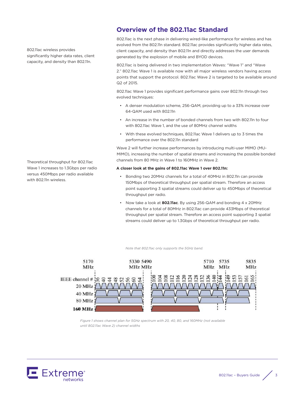802.11ac wireless provides significantly higher data rates, client capacity, and density than 802.11n.

Theoretical throughput for 802.11ac Wave 1 increases to 1.3Gbps per radio versus 450Mbps per radio available with 802.11n wireless.

## **Overview of the 802.11ac Standard**

802.11ac is the next phase in delivering wired-like performance for wireless and has evolved from the 802.11n standard. 802.11ac provides significantly higher data rates, client capacity, and density than 802.11n and directly addresses the user demands generated by the explosion of mobile and BYOD devices.

802.11ac is being delivered in two implementation Waves: "Wave 1" and "Wave 2." 802.11ac Wave 1 is available now with all major wireless vendors having access points that support the protocol. 802.11ac Wave 2 is targeted to be available around Q2 of 2015.

802.11ac Wave 1 provides significant performance gains over 802.11n through two evolved techniques:

- A denser modulation scheme, 256-QAM, providing up to a 33% increase over 64-QAM used with 802.11n
- An increase in the number of bonded channels from two with 802.11n to four with 802.11ac Wave 1, and the use of 80MHz channel widths
- With these evolved techniques, 802.11ac Wave 1 delivers up to 3 times the performance over the 802.11n standard

Wave 2 will further increase performances by introducing multi-user MIMO (MU-MIMO), increasing the number of spatial streams and increasing the possible bonded channels from 80 MHz in Wave 1 to 160MHz in Wave 2.

#### **A closer look at the gains of 802.11ac Wave 1 over 802.11n:**

- Bonding two 20MHz channels for a total of 40MHz in 802.11n can provide 150Mbps of theoretical throughput per spatial stream. Therefore an access point supporting 3 spatial streams could deliver up to 450Mbps of theoretical throughput per radio.
- Now take a look at **802.11ac**. By using 256-QAM and bonding 4 x 20MHz channels for a total of 80MHz in 802.11ac can provide 433Mbps of theoretical throughput per spatial stream. Therefore an access point supporting 3 spatial streams could deliver up to 1.3Gbps of theoretical throughput per radio.

*Note that 802.11ac only supports the 5GHz band.* 



*Figure 1 shows channel plan for 5GHz spectrum with 20, 40, 80, and 160MHz (not available until 802.11ac Wave 2) channel widths* 

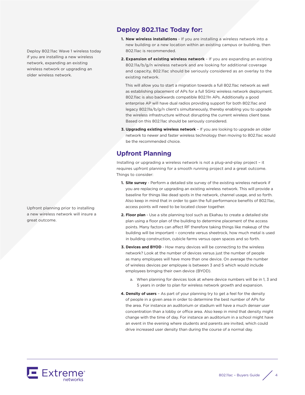Deploy 802.11ac Wave 1 wireless today if you are installing a new wireless network, expanding an existing wireless network or upgrading an older wireless network.

Upfront planning prior to installing a new wireless network will insure a great outcome.

## **Deploy 802.11ac Today for:**

- **1. New wireless installations** If you are installing a wireless network into a new building or a new location within an existing campus or building, then 802.11ac is recommended.
- **2. Expansion of existing wireless network** If you are expanding an existing 802.11a/b/g/n wireless network and are looking for additional coverage and capacity, 802.11ac should be seriously considered as an overlay to the existing network.

This will allow you to start a migration towards a full 802.11ac network as well as establishing placement of APs for a full 5GHz wireless network deployment. 802.11ac is also backwards compatible 802.11n APs. Additionally a good enterprise AP will have dual radios providing support for both 802.11ac and legacy 802.11a/b/g/n client's simultaneously, thereby enabling you to upgrade the wireless infrastructure without disrupting the current wireless client base. Based on this 802.11ac should be seriously considered.

**3. Upgrading existing wireless network** – If you are looking to upgrade an older network to newer and faster wireless technology then moving to 802.11ac would be the recommended choice.

## **Upfront Planning**

Installing or upgrading a wireless network is not a plug-and-play project – it requires upfront planning for a smooth running project and a great outcome. Things to consider:

- **1. Site survey** Perform a detailed site survey of the existing wireless network if you are replacing or upgrading an existing wireless network. This will provide a baseline for things like dead spots in the network, channel usage, and so forth. Also keep in mind that in order to gain the full performance benefits of 802.11ac, access points will need to be located closer together.
- **2. Floor plan** Use a site planning tool such as Ekahau to create a detailed site plan using a floor plan of the building to determine placement of the access points. Many factors can affect RF therefore taking things like makeup of the building will be important – concrete versus sheetrock, how much metal is used in building construction, cubicle farms versus open spaces and so forth.
- **3. Devices and BYOD** How many devices will be connecting to the wireless network? Look at the number of devices versus just the number of people as many employees will have more than one device. On average the number of wireless devices per employee is between 3 and 5 which would include employees bringing their own device (BYOD).
	- a. When planning for devices look at where device numbers will be in 1, 3 and 5 years in order to plan for wireless network growth and expansion.
- **4. Density of users** As part of your planning try to get a feel for the density of people in a given area in order to determine the best number of APs for the area. For instance an auditorium or stadium will have a much denser user concentration than a lobby or office area. Also keep in mind that density might change with the time of day. For instance an auditorium in a school might have an event in the evening where students and parents are invited, which could drive increased user density than during the course of a normal day.

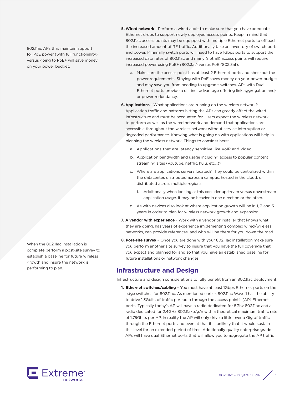802.11ac APs that maintain support for PoE power (with full functionality) versus going to PoE+ will save money on your power budget.

When the 802.11ac installation is complete perform a post-site survey to establish a baseline for future wireless growth and insure the network is performing to plan.

- **5. Wired network** Perform a wired audit to make sure that you have adequate Ethernet drops to support newly deployed access points. Keep in mind that 802.11ac access points may be equipped with multiple Ethernet ports to offload the increased amount of RF traffic. Additionally take an inventory of switch ports and power. Minimally switch ports will need to have 1Gbps ports to support the increased data rates of 802.11ac and many (not all) access points will require increased power using PoE+ (802.3at) versus PoE (802.3af).
	- a. Make sure the access point has at least 2 Ethernet ports and checkout the power requirements. Staying with PoE saves money on your power budget and may save you from needing to upgrade switches. APs with Dual Ethernet ports provide a distinct advantage offering link aggregation and/ or power redundancy.
- **6.Applications** What applications are running on the wireless network? Application traffic and patterns hitting the APs can greatly affect the wired infrastructure and must be accounted for. Users expect the wireless network to perform as well as the wired network and demand that applications are accessible throughout the wireless network without service interruption or degraded performance. Knowing what is going on with applications will help in planning the wireless network. Things to consider here:
	- a. Applications that are latency sensitive like VoIP and video.
	- b. Application bandwidth and usage including access to popular content streaming sites (youtube, netflix, hulu, etc...)?
	- c. Where are applications servers located? They could be centralized within the datacenter, distributed across a campus, hosted in the cloud, or distributed across multiple regions.
		- i. Additionally when looking at this consider upstream versus downstream application usage. It may be heavier in one direction or the other.
	- d. As with devices also look at where application growth will be in 1, 3 and 5 years in order to plan for wireless network growth and expansion.
- **7. A vendor with experience** Work with a vendor or installer that knows what they are doing, has years of experience implementing complex wired/wireless networks, can provide references, and who will be there for you down the road.
- **8. Post-site survey** Once you are done with your 802.11ac installation make sure you perform another site survey to insure that you have the full coverage that you expect and planned for and so that you have an established baseline for future installations or network changes.

### **Infrastructure and Design**

Infrastructure and design considerations to fully benefit from an 802.11ac deployment:

**1. Ethernet switches/cabling** – You must have at least 1Gbps Ethernet ports on the edge switches for 802.11ac. As mentioned earlier, 802.11ac Wave 1 has the ability to drive 1.3Gbits of traffic per radio through the access point's (AP) Ethernet ports. Typically today's AP will have a radio dedicated for 5Ghz 802.11ac and a radio dedicated for 2.4GHz 802.11a/b/g/n with a theoretical maximum traffic rate of 1.75Gbits per AP. In reality the AP will only drive a little over a Gig of traffic through the Ethernet ports and even at that it is unlikely that it would sustain this level for an extended period of time. Additionally quality enterprise grade APs will have dual Ethernet ports that will allow you to aggregate the AP traffic



802.11ac – Buyers Guide  $\Bigg/ 5$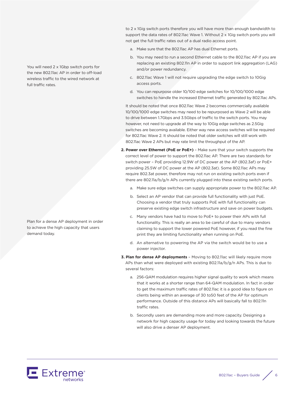to 2 x 1Gig switch ports therefore you will have more than enough bandwidth to support the data rates of 802.11ac Wave 1. Without 2 x 1Gig switch ports you will not get the full traffic rates out of a dual radio access point.

- a. Make sure that the 802.11ac AP has dual Ethernet ports.
- b. You may need to run a second Ethernet cable to the 802.11ac AP if you are replacing an existing 802.11n AP in order to support link aggregation (LAG) and/or power redundancy.
- c. 802.11ac Wave 1 will not require upgrading the edge switch to 10Gig access ports.
- d. You can repurpose older 10/100 edge switches for 10/100/1000 edge switches to handle the increased Ethernet traffic generated by 802.11ac APs.

It should be noted that once 802.11ac Wave 2 becomes commercially available 10/100/1000 edge switches may need to be repurposed as Wave 2 will be able to drive between 1.7Gbps and 3.5Gbps of traffic to the switch ports. You may however, not need to upgrade all the way to 10Gig edge switches as 2.5Gig switches are becoming available. Either way new access switches will be required for 802.11ac Wave 2. It should be noted that older switches will still work with 802.11ac Wave 2 APs but may rate limit the throughput of the AP.

- **2. Power over Ethernet (PoE or PoE+)** Make sure that your switch supports the correct level of power to support the 802.11ac AP. There are two standards for switch power – PoE providing 12.9W of DC power at the AP (802.3af) or PoE+ providing 25.5W of DC power at the AP (802.3at). Some 802.11ac APs may require 802.3at power, therefore may not run on existing switch ports even if there are 802.11a/b/g/n APs currently plugged into these existing switch ports.
	- a. Make sure edge switches can supply appropriate power to the 802.11ac AP.
	- b. Select an AP vendor that can provide full functionality with just PoE. Choosing a vendor that truly supports PoE with full functionality can preserve existing edge switch infrastructure and save on power budgets.
	- c. Many vendors have had to move to PoE+ to power their APs with full functionality. This is really an area to be careful of due to many vendors claiming to support the lower powered PoE however, if you read the fine print they are limiting functionality when running on PoE.
	- d. An alternative to powering the AP via the switch would be to use a power injector.
- **3. Plan for dense AP deployments** Moving to 802.11ac will likely require more APs than what were deployed with existing 802.11a/b/g/n APs. This is due to several factors:
	- a. 256-QAM modulation requires higher signal quality to work which means that it works at a shorter range than 64-QAM modulation. In fact in order to get the maximum traffic rates of 802.11ac it is a good idea to figure on clients being within an average of 30 to50 feet of the AP for optimum performance. Outside of this distance APs will basically fall to 802.11n traffic rates.
	- b. Secondly users are demanding more and more capacity. Designing a network for high capacity usage for today and looking towards the future will also drive a denser AP deployment.



You will need 2 x 1Gbp switch ports for the new 802.11ac AP in order to off-load wireless traffic to the wired network at full traffic rates.

Plan for a dense AP deployment in order to achieve the high capacity that users demand today.

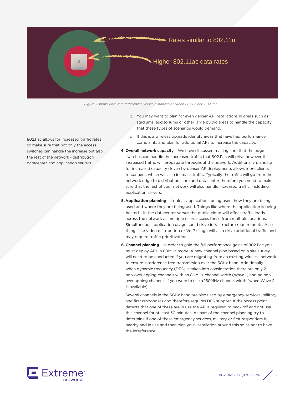

*Figure 2 shows data rate differences verses distances between 802.11n and 802.11ac*

802.11ac allows for increased traffic rates so make sure that not only the access switches can handle the increase but also the rest of the network - distribution, datacenter, and application servers.

- c. You may want to plan for even denser AP installations in areas such as stadiums, auditoriums or other large public areas to handle the capacity that these types of scenarios would demand.
- d. If this is a wireless upgrade identify areas that have had performance complaints and plan for additional APs to increase the capacity.
- **4. Overall network capacity**  We have discussed making sure that the edge switches can handle the increased traffic that 802.11ac will drive however this increased traffic will propagate throughout the network. Additionally planning for increased capacity driven by denser AP deployments allows more clients to connect, which will also increase traffic. Typically the traffic will go from the network edge to distribution, core and datacenter therefore you need to make sure that the rest of your network will also handle increased traffic, including application servers.
- **5.Application planning**  Look at applications being used, how they are being used and where they are being used. Things like where the application is being hosted – in the datacenter versus the public cloud will affect traffic loads across the network as multiple users access these from multiple locations. Simultaneous application usage could drive infrastructure requirements. Also things like video distribution or VoIP usage will also drive additional traffic and may require traffic prioritization.
- **6. Channel planning**  In order to gain the full performance gains of 802.11ac you must deploy APs in 80MHz mode. A new channel plan based on a site survey will need to be conducted if you are migrating from an existing wireless network to ensure interference free transmission over the 5GHz band. Additionally when dynamic frequency (DFS) is taken into consideration there are only 2 non-overlapping channels with an 80MHz channel width (Wave 1) and no nonoverlapping channels if you were to use a 160MHz channel width (when Wave 2 is available).

Several channels in the 5GHz band are also used by emergency services, military and first responders and therefore requires DFS support. If the access point detects that one of these are in use the AP is required to back off and not use this channel for at least 30 minutes. As part of the channel planning try to determine if one of these emergency services, military or first responders is nearby and in use and then plan your installation around this so as not to have the interference.

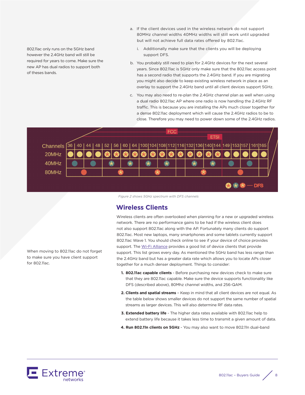802.11ac only runs on the 5GHz band however the 2.4GHz band will still be required for years to come. Make sure the new AP has dual radios to support both of theses bands.

- a. If the client devices used in the wireless network do not support 80MHz channel widths 40MHz widths will still work until upgraded but will not achieve full data rates offered by 802.11ac.
	- i. Additionally make sure that the clients you will be deploying support DFS.
- b. You probably still need to plan for 2.4GHz devices for the next several years. Since 802.11ac is 5GHz only make sure that the 802.11ac access point has a second radio that supports the 2.4GHz band. If you are migrating you might also decide to keep existing wireless network in place as an overlay to support the 2.4GHz band until all client devices support 5GHz.
- c. You may also need to re-plan the 2.4GHz channel plan as well when using a dual radio 802.11ac AP where one radio is now handling the 2.4GHz RF traffic. This is because you are installing the APs much closer together for a dense 802.11ac deployment which will cause the 2.4GHz radios to be to close. Therefore you may need to power down some of the 2.4GHz radios.



*Figure 2 shows 5GHz spectrum with DFS channels*

## **Wireless Clients**

Wireless clients are often overlooked when planning for a new or upgraded wireless network. There are no performance gains to be had if the wireless client does not also support 802.11ac along with the AP. Fortunately many clients do support 802.11ac. Most new laptops, many smartphones and some tablets currently support 802.11ac Wave 1. You should check online to see if your device of choice provides support. The [Wi-Fi Alliance](http://www.wi-fi.org/discover-wi-fi/wi-fi-certified-ac) provides a good list of device clients that provide support. This list grows every day. As mentioned the 5GHz band has less range than the 2.4GHz band but has a greater data rate which allows you to locate APs closer together for a much denser deployment. Things to consider:

- **1. 802.11ac capable clients** Before purchasing new devices check to make sure that they are 802.11ac capable. Make sure the device supports functionality like DFS (described above), 80Mhz channel widths, and 256-QAM.
- **2. Clients and spatial streams** Keep in mind that all client devices are not equal. As the table below shows smaller devices do not support the same number of spatial streams as larger devices. This will also determine RF data rates.
- **3. Extended battery life** The higher data rates available with 802.11ac help to extend battery life because it takes less time to transmit a given amount of data.
- **4. Run 802.11n clients on 5GHz** You may also want to move 802.11n dual-band



When moving to 802.11ac do not forget to make sure you have client support

for 802.11ac.

802.11ac – Buyers Guide / 8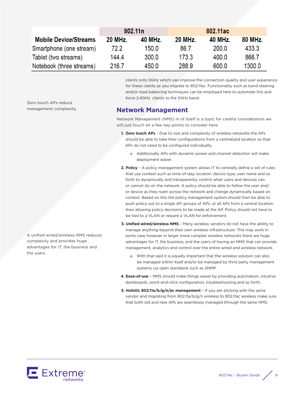|                              | 802.11 <sub>n</sub> |         | 802.11ac |         |                |
|------------------------------|---------------------|---------|----------|---------|----------------|
| <b>Mobile Device/Streams</b> | <b>20 MHz.</b>      | 40 MHz. | 20 MHz.  | 40 MHz. | <b>80 MHz.</b> |
| Smartphone (one stream)      | 72.2                | 150.0   | 86.7     | 200.0   | 433.3          |
| Tablet (two streams)         | 144.4               | 300.0   | 173.3    | 400.0   | 866.7          |
| Notebook (three streams)     | 216.7               | 450.0   | 288.9    | 600.0   | 1300.0         |

clients onto 5GHz which can improve the connection quality and user experience for these clients as you migrate to 802.11ac. Functionality such as band steering and/or load balancing techniques can be employed here to automate this and force 2.4GHz clients to the 5GHz band.

## **Network Management**

Network Management (NMS) in of itself is a topic for careful consideration we will just touch on a few key points to consider here:

- **1. Zero touch APs** Due to size and complexity of wireless networks the APs should be able to take their configurations from a centralized location so that APs do not need to be configured individually.
	- a. Additionally APs with dynamic power and channel detection will make deployment easier.
- **2. Policy** A policy management system allows IT to centrally define a set of rules that use context such as time-of-day, location, device type, user name and so forth to dynamically and transparently control what users and devices can or cannot do on the network. A policy should be able to follow the user and/ or device as they roam across the network and change dynamically based on context. Based on this the policy management system should then be able to push policy out to a single AP, groups of APs, or all APs from a central location then allowing policy decisions to be made at the AP. Policy should not have to be tied to a VLAN or require a VLAN for enforcement.
- **3. Unified wired/wireless NMS** Many wireless vendors do not have the ability to manage anything beyond their own wireless infrastructure. This may work in some case however in larger more complex wireless networks there are huge advantages for IT, the business, and the users of having an NMS that can provide management, analytics and control over the entire wired and wireless network.
	- a. With that said it is equally important that the wireless solution can also be managed within itself and/or be managed by third party management systems via open standards such as SNMP.
- **4. Ease-of-use** NMS should make things easier by providing automation, intuitive dashboards, point-and-click configuration, troubleshooting and so forth.
- **5. Holistic 802.11a/b/g/n/ac management** If you are sticking with the same vendor and migrating from 802.11a/b/g/n wireless to 802.11ac wireless make sure that both old and new APs are seamlessly managed through the same NMS.

Zero touch APs reduce management complexity.

A unified wired/wireless NMS reduces complexity and provides huge advantages for IT, the business and the users.

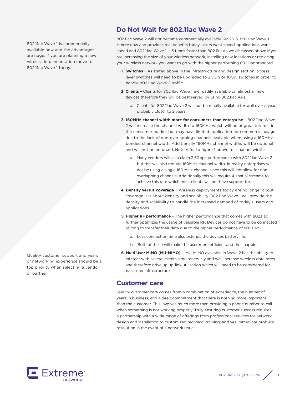802.11ac Wave 1 is commercially available now and the advantages are huge. If you are planning a new wireless implementation move to 802.11ac Wave 1 today.

**Do Not Wait for 802.11ac Wave 2**

802.11ac Wave 2 will not become commercially available Q2 2015. 802.11ac Wave 1 is here now and provides real benefits today. Users want speed, applications want speed and 802.11ac Wave 1 is 3 times faster than 802.11n. As we discussed above if you are increasing the size of your wireless network, installing new locations or replacing your wireless network you want to go with the higher performing 802.11ac standard.

- **1. Switches** As stated above in the infrastructure and design section, access layer switches will need to be upgraded to 2.5Gig or 10Gig switches in order to handle 802.11ac Wave 2 traffic.
- **2. Clients** Clients for 802.11ac Wave 1 are readily available on almost all new devices therefore they will be best served by using 802.11ac APs.
	- a. Clients for 802.11ac Wave 2 will not be readily available for well over a year, probably closer to 2 years.
- **3. 160MHz channel width more for consumers than enterprise** 802.11ac Wave 2 will increase the channel width to 160MHz which will be of great interest in the consumer market but may have limited application for commercial usage due to the lack of non-overlapping channels available when using a 160MHz bonded channel width. Additionally 160MHz channel widths will be optional and will not be enforced. Note refer to figure 1 above for channel widths.
	- a. Many vendors will also claim 3.5Gbps performance with 802.11ac Wave 2 but this will also require 160MHz channel width. In reality enterprises will not be using a single 160 MHz channel since this will not allow for nonoverlapping channels. Additionally this will require 4 spatial streams to achieve this rate which most clients will not have support for.
- **4. Density versus coverage** Wireless deployments today are no longer about coverage it is about density and scalability. 802.11ac Wave 1 will provide the density and scalability to handle the increased demand of today's users and applications.
- **5. Higher RF performance** The higher performance that comes with 802.11ac further optimizes the usage of valuable RF. Devices do not have to be connected as long to transfer their data due to the higher performance of 802.11ac.
	- a. Less connection time also extends the devices battery life.
	- b. Both of these will make the user more efficient and thus happier.
- **6. Multi User MIMO (MU-MIMO)** MU-MIMO available in Wave 2 has the ability to interact with several clients simultaneously and will increase wireless data rates and therefore drive up up-link utilization which will need to be considered for back-end infrastructure.

## **Customer care**

Quality customer care comes from a combination of experience, the number of years in business, and a deep commitment that there is nothing more important than the customer. This involves much more than providing a phone number to call when something is not working properly. Truly ensuring customer success requires a partnership with a wide range of offerings from professional services for network design and installation to customized technical training; and yes immediate problem resolution in the event of a network issue.



Quality customer support and years of networking experience should be a top priority when selecting a vendor or partner.